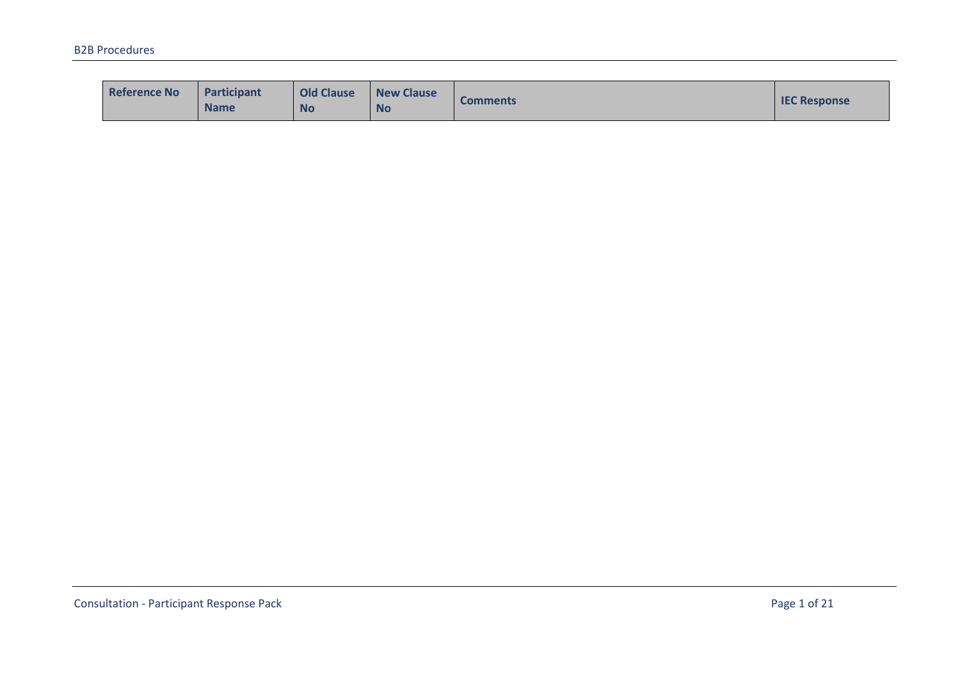| <b>Reference No</b> | Participant<br><b>Name</b> | <b>Old Clause</b><br><b>No</b> | <b>New Clause</b><br><b>No</b> | <b>Comments</b> | <b>IEC Response</b> |
|---------------------|----------------------------|--------------------------------|--------------------------------|-----------------|---------------------|
|---------------------|----------------------------|--------------------------------|--------------------------------|-----------------|---------------------|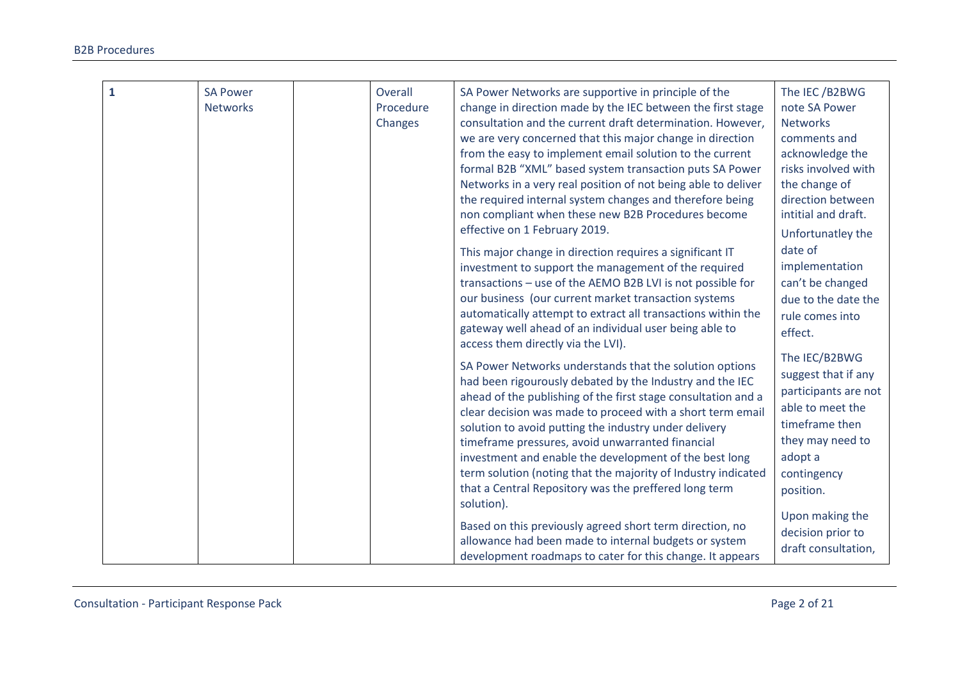| $\overline{1}$ | <b>SA Power</b><br><b>Networks</b> | Overall<br>Procedure<br>Changes | SA Power Networks are supportive in principle of the<br>change in direction made by the IEC between the first stage<br>consultation and the current draft determination. However,<br>we are very concerned that this major change in direction<br>from the easy to implement email solution to the current<br>formal B2B "XML" based system transaction puts SA Power<br>Networks in a very real position of not being able to deliver<br>the required internal system changes and therefore being<br>non compliant when these new B2B Procedures become<br>effective on 1 February 2019.<br>This major change in direction requires a significant IT<br>investment to support the management of the required<br>transactions - use of the AEMO B2B LVI is not possible for<br>our business (our current market transaction systems<br>automatically attempt to extract all transactions within the<br>gateway well ahead of an individual user being able to<br>access them directly via the LVI). | The IEC/B2BWG<br>note SA Power<br><b>Networks</b><br>comments and<br>acknowledge the<br>risks involved with<br>the change of<br>direction between<br>intitial and draft.<br>Unfortunatley the<br>date of<br>implementation<br>can't be changed<br>due to the date the<br>rule comes into<br>effect. |
|----------------|------------------------------------|---------------------------------|-----------------------------------------------------------------------------------------------------------------------------------------------------------------------------------------------------------------------------------------------------------------------------------------------------------------------------------------------------------------------------------------------------------------------------------------------------------------------------------------------------------------------------------------------------------------------------------------------------------------------------------------------------------------------------------------------------------------------------------------------------------------------------------------------------------------------------------------------------------------------------------------------------------------------------------------------------------------------------------------------------|-----------------------------------------------------------------------------------------------------------------------------------------------------------------------------------------------------------------------------------------------------------------------------------------------------|
|                |                                    |                                 | had been rigourously debated by the Industry and the IEC<br>ahead of the publishing of the first stage consultation and a<br>clear decision was made to proceed with a short term email<br>solution to avoid putting the industry under delivery<br>timeframe pressures, avoid unwarranted financial<br>investment and enable the development of the best long<br>term solution (noting that the majority of Industry indicated<br>that a Central Repository was the preffered long term<br>solution).                                                                                                                                                                                                                                                                                                                                                                                                                                                                                              | suggest that if any<br>participants are not<br>able to meet the<br>timeframe then<br>they may need to<br>adopt a<br>contingency<br>position.                                                                                                                                                        |
|                |                                    |                                 | Based on this previously agreed short term direction, no<br>allowance had been made to internal budgets or system<br>development roadmaps to cater for this change. It appears                                                                                                                                                                                                                                                                                                                                                                                                                                                                                                                                                                                                                                                                                                                                                                                                                      | Upon making the<br>decision prior to<br>draft consultation,                                                                                                                                                                                                                                         |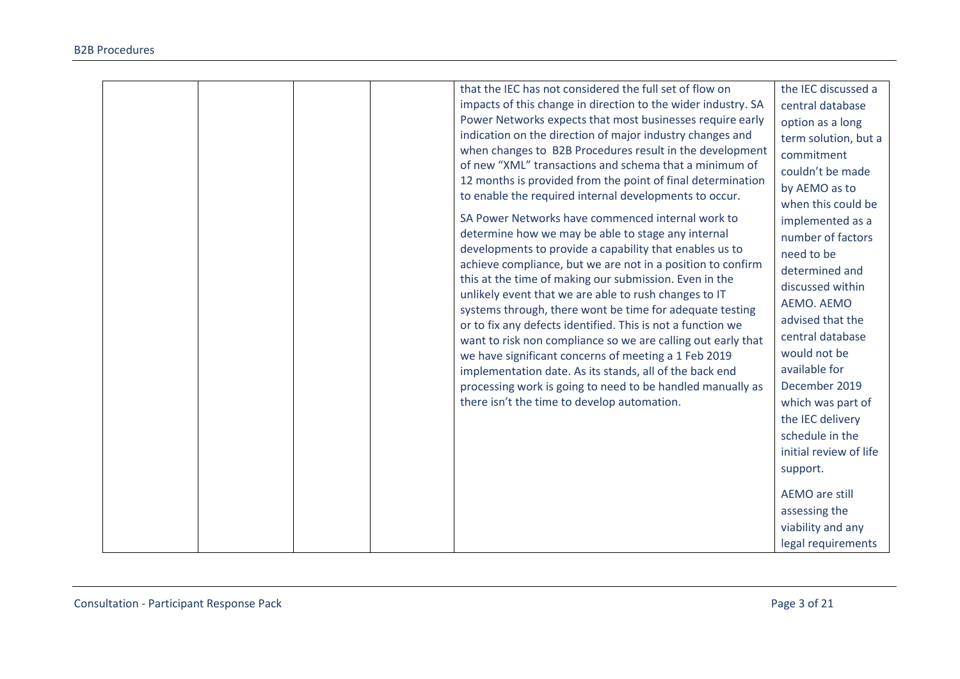|  | that the IEC has not considered the full set of flow on       | the IEC discussed a    |
|--|---------------------------------------------------------------|------------------------|
|  | impacts of this change in direction to the wider industry. SA | central database       |
|  | Power Networks expects that most businesses require early     | option as a long       |
|  | indication on the direction of major industry changes and     | term solution, but a   |
|  | when changes to B2B Procedures result in the development      | commitment             |
|  | of new "XML" transactions and schema that a minimum of        | couldn't be made       |
|  | 12 months is provided from the point of final determination   | by AEMO as to          |
|  | to enable the required internal developments to occur.        | when this could be     |
|  | SA Power Networks have commenced internal work to             | implemented as a       |
|  | determine how we may be able to stage any internal            | number of factors      |
|  | developments to provide a capability that enables us to       | need to be             |
|  | achieve compliance, but we are not in a position to confirm   | determined and         |
|  | this at the time of making our submission. Even in the        | discussed within       |
|  | unlikely event that we are able to rush changes to IT         | AEMO. AEMO             |
|  | systems through, there wont be time for adequate testing      | advised that the       |
|  | or to fix any defects identified. This is not a function we   | central database       |
|  | want to risk non compliance so we are calling out early that  |                        |
|  | we have significant concerns of meeting a 1 Feb 2019          | would not be           |
|  | implementation date. As its stands, all of the back end       | available for          |
|  | processing work is going to need to be handled manually as    | December 2019          |
|  | there isn't the time to develop automation.                   | which was part of      |
|  |                                                               | the IEC delivery       |
|  |                                                               | schedule in the        |
|  |                                                               | initial review of life |
|  |                                                               | support.               |
|  |                                                               | AEMO are still         |
|  |                                                               | assessing the          |
|  |                                                               | viability and any      |
|  |                                                               | legal requirements     |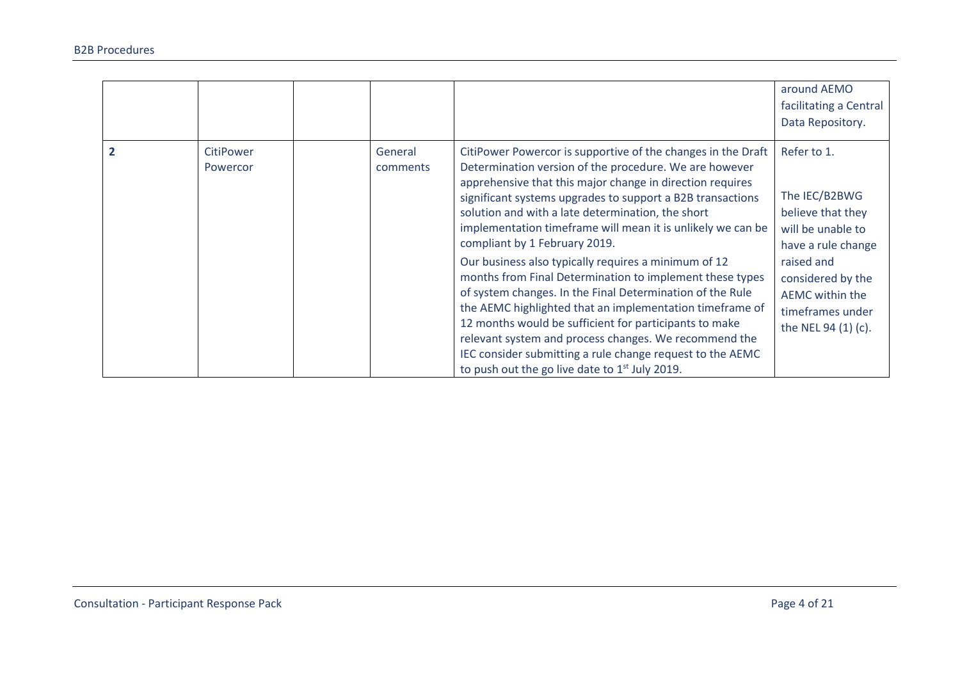|                              |                     |                                                                                                                                                                                                                                                                                                                                                                                                                                                                                                                                                                                                                                                                                                                                                                                                                                                                                         | around AEMO<br>facilitating a Central<br>Data Repository.                                                                                                                                     |
|------------------------------|---------------------|-----------------------------------------------------------------------------------------------------------------------------------------------------------------------------------------------------------------------------------------------------------------------------------------------------------------------------------------------------------------------------------------------------------------------------------------------------------------------------------------------------------------------------------------------------------------------------------------------------------------------------------------------------------------------------------------------------------------------------------------------------------------------------------------------------------------------------------------------------------------------------------------|-----------------------------------------------------------------------------------------------------------------------------------------------------------------------------------------------|
| <b>CitiPower</b><br>Powercor | General<br>comments | CitiPower Powercor is supportive of the changes in the Draft<br>Determination version of the procedure. We are however<br>apprehensive that this major change in direction requires<br>significant systems upgrades to support a B2B transactions<br>solution and with a late determination, the short<br>implementation timeframe will mean it is unlikely we can be<br>compliant by 1 February 2019.<br>Our business also typically requires a minimum of 12<br>months from Final Determination to implement these types<br>of system changes. In the Final Determination of the Rule<br>the AEMC highlighted that an implementation timeframe of<br>12 months would be sufficient for participants to make<br>relevant system and process changes. We recommend the<br>IEC consider submitting a rule change request to the AEMC<br>to push out the go live date to $1st$ July 2019. | Refer to 1.<br>The IEC/B2BWG<br>believe that they<br>will be unable to<br>have a rule change<br>raised and<br>considered by the<br>AEMC within the<br>timeframes under<br>the NEL 94 (1) (c). |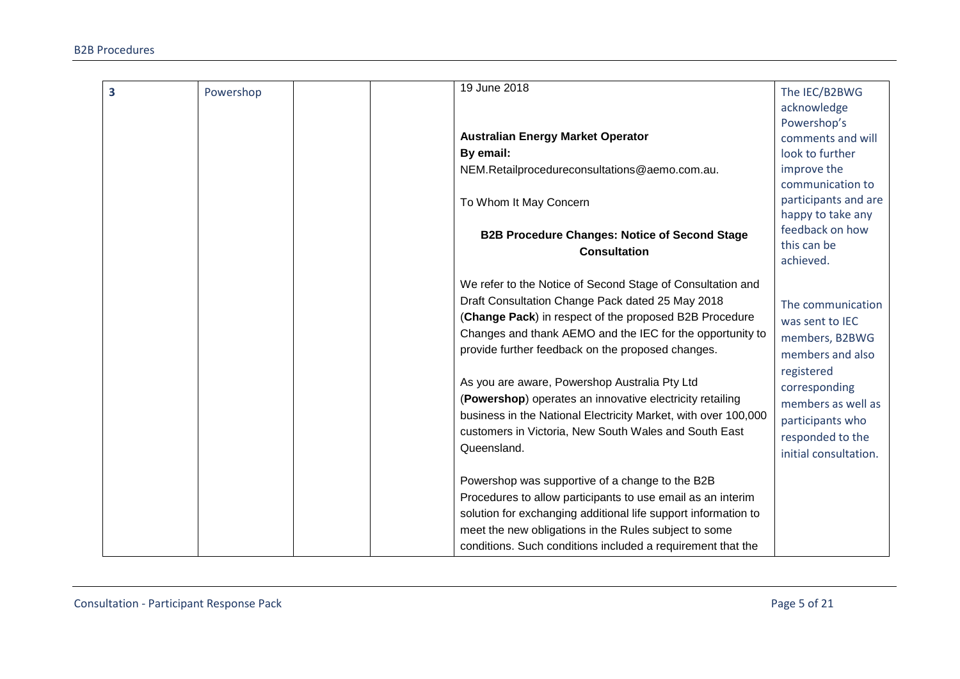| 3 | Powershop | 19 June 2018                                                                                                                                                                                                                                                                                                                                                                                                                                                                                                                                      | The IEC/B2BWG                                                                                                                                                                                    |
|---|-----------|---------------------------------------------------------------------------------------------------------------------------------------------------------------------------------------------------------------------------------------------------------------------------------------------------------------------------------------------------------------------------------------------------------------------------------------------------------------------------------------------------------------------------------------------------|--------------------------------------------------------------------------------------------------------------------------------------------------------------------------------------------------|
|   |           |                                                                                                                                                                                                                                                                                                                                                                                                                                                                                                                                                   | acknowledge<br>Powershop's                                                                                                                                                                       |
|   |           | <b>Australian Energy Market Operator</b>                                                                                                                                                                                                                                                                                                                                                                                                                                                                                                          | comments and will                                                                                                                                                                                |
|   |           | By email:                                                                                                                                                                                                                                                                                                                                                                                                                                                                                                                                         | look to further                                                                                                                                                                                  |
|   |           | NEM.Retailprocedureconsultations@aemo.com.au.                                                                                                                                                                                                                                                                                                                                                                                                                                                                                                     | improve the                                                                                                                                                                                      |
|   |           |                                                                                                                                                                                                                                                                                                                                                                                                                                                                                                                                                   | communication to                                                                                                                                                                                 |
|   |           | To Whom It May Concern                                                                                                                                                                                                                                                                                                                                                                                                                                                                                                                            | participants and are                                                                                                                                                                             |
|   |           |                                                                                                                                                                                                                                                                                                                                                                                                                                                                                                                                                   | happy to take any                                                                                                                                                                                |
|   |           | <b>B2B Procedure Changes: Notice of Second Stage</b>                                                                                                                                                                                                                                                                                                                                                                                                                                                                                              | feedback on how                                                                                                                                                                                  |
|   |           | <b>Consultation</b>                                                                                                                                                                                                                                                                                                                                                                                                                                                                                                                               | this can be                                                                                                                                                                                      |
|   |           |                                                                                                                                                                                                                                                                                                                                                                                                                                                                                                                                                   | achieved.                                                                                                                                                                                        |
|   |           | We refer to the Notice of Second Stage of Consultation and<br>Draft Consultation Change Pack dated 25 May 2018<br>(Change Pack) in respect of the proposed B2B Procedure<br>Changes and thank AEMO and the IEC for the opportunity to<br>provide further feedback on the proposed changes.<br>As you are aware, Powershop Australia Pty Ltd<br>(Powershop) operates an innovative electricity retailing<br>business in the National Electricity Market, with over 100,000<br>customers in Victoria, New South Wales and South East<br>Queensland. | The communication<br>was sent to IEC<br>members, B2BWG<br>members and also<br>registered<br>corresponding<br>members as well as<br>participants who<br>responded to the<br>initial consultation. |
|   |           | Powershop was supportive of a change to the B2B<br>Procedures to allow participants to use email as an interim                                                                                                                                                                                                                                                                                                                                                                                                                                    |                                                                                                                                                                                                  |
|   |           | solution for exchanging additional life support information to                                                                                                                                                                                                                                                                                                                                                                                                                                                                                    |                                                                                                                                                                                                  |
|   |           | meet the new obligations in the Rules subject to some                                                                                                                                                                                                                                                                                                                                                                                                                                                                                             |                                                                                                                                                                                                  |
|   |           | conditions. Such conditions included a requirement that the                                                                                                                                                                                                                                                                                                                                                                                                                                                                                       |                                                                                                                                                                                                  |
|   |           |                                                                                                                                                                                                                                                                                                                                                                                                                                                                                                                                                   |                                                                                                                                                                                                  |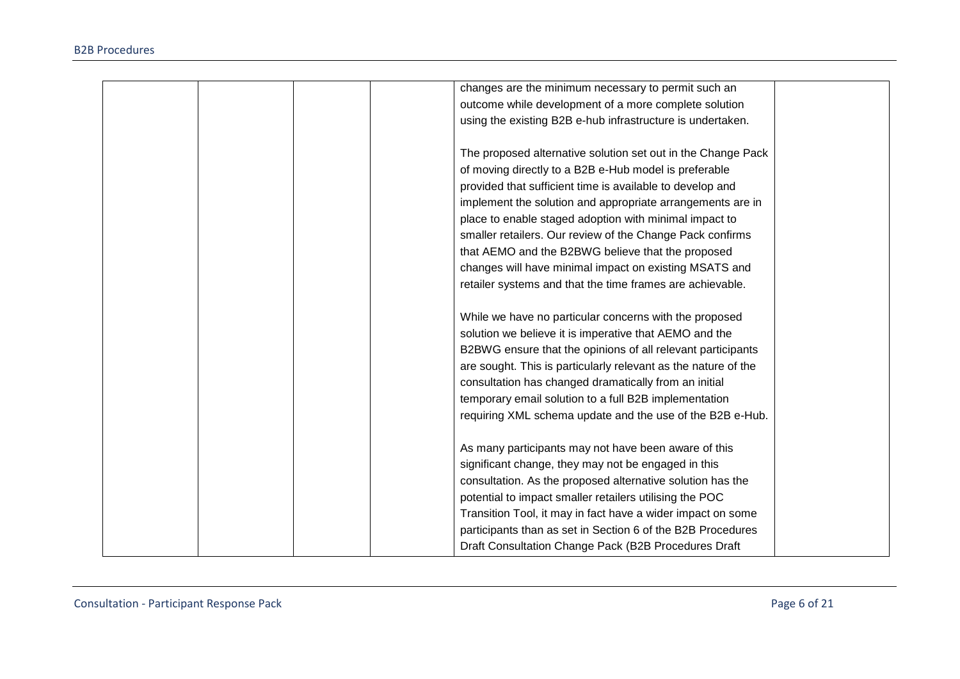| changes are the minimum necessary to permit such an            |
|----------------------------------------------------------------|
| outcome while development of a more complete solution          |
| using the existing B2B e-hub infrastructure is undertaken.     |
|                                                                |
| The proposed alternative solution set out in the Change Pack   |
| of moving directly to a B2B e-Hub model is preferable          |
| provided that sufficient time is available to develop and      |
| implement the solution and appropriate arrangements are in     |
| place to enable staged adoption with minimal impact to         |
| smaller retailers. Our review of the Change Pack confirms      |
| that AEMO and the B2BWG believe that the proposed              |
| changes will have minimal impact on existing MSATS and         |
| retailer systems and that the time frames are achievable.      |
|                                                                |
| While we have no particular concerns with the proposed         |
| solution we believe it is imperative that AEMO and the         |
| B2BWG ensure that the opinions of all relevant participants    |
| are sought. This is particularly relevant as the nature of the |
| consultation has changed dramatically from an initial          |
| temporary email solution to a full B2B implementation          |
| requiring XML schema update and the use of the B2B e-Hub.      |
|                                                                |
| As many participants may not have been aware of this           |
| significant change, they may not be engaged in this            |
| consultation. As the proposed alternative solution has the     |
| potential to impact smaller retailers utilising the POC        |
| Transition Tool, it may in fact have a wider impact on some    |
| participants than as set in Section 6 of the B2B Procedures    |
| Draft Consultation Change Pack (B2B Procedures Draft           |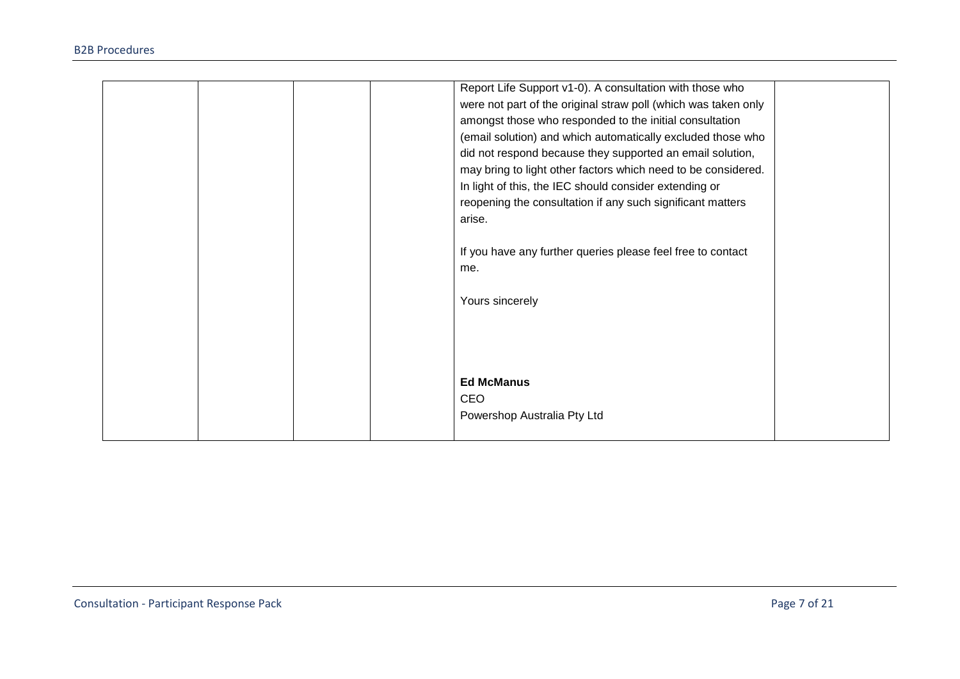|  |  | Report Life Support v1-0). A consultation with those who       |  |
|--|--|----------------------------------------------------------------|--|
|  |  | were not part of the original straw poll (which was taken only |  |
|  |  | amongst those who responded to the initial consultation        |  |
|  |  | (email solution) and which automatically excluded those who    |  |
|  |  | did not respond because they supported an email solution,      |  |
|  |  | may bring to light other factors which need to be considered.  |  |
|  |  | In light of this, the IEC should consider extending or         |  |
|  |  | reopening the consultation if any such significant matters     |  |
|  |  | arise.                                                         |  |
|  |  |                                                                |  |
|  |  | If you have any further queries please feel free to contact    |  |
|  |  | me.                                                            |  |
|  |  |                                                                |  |
|  |  | Yours sincerely                                                |  |
|  |  |                                                                |  |
|  |  |                                                                |  |
|  |  |                                                                |  |
|  |  |                                                                |  |
|  |  | <b>Ed McManus</b>                                              |  |
|  |  | <b>CEO</b>                                                     |  |
|  |  |                                                                |  |
|  |  | Powershop Australia Pty Ltd                                    |  |
|  |  |                                                                |  |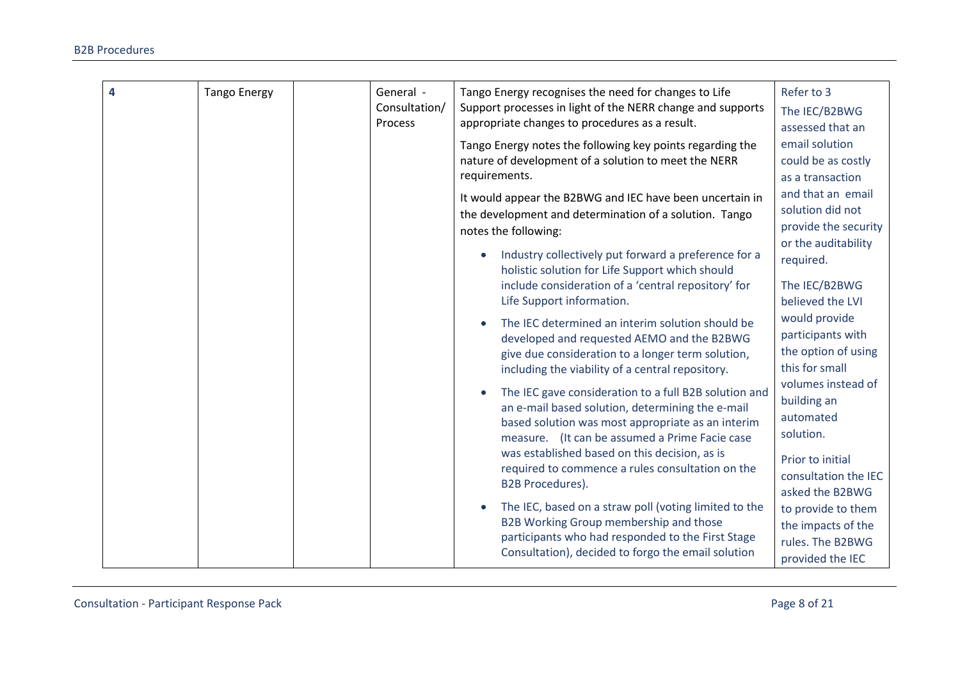| 4 | <b>Tango Energy</b> | General -     | Tango Energy recognises the need for changes to Life                                                                 | Refer to 3                       |
|---|---------------------|---------------|----------------------------------------------------------------------------------------------------------------------|----------------------------------|
|   |                     | Consultation/ | Support processes in light of the NERR change and supports                                                           | The IEC/B2BWG                    |
|   |                     | Process       | appropriate changes to procedures as a result.                                                                       | assessed that an                 |
|   |                     |               | Tango Energy notes the following key points regarding the                                                            | email solution                   |
|   |                     |               | nature of development of a solution to meet the NERR                                                                 | could be as costly               |
|   |                     |               | requirements.                                                                                                        | as a transaction                 |
|   |                     |               | It would appear the B2BWG and IEC have been uncertain in                                                             | and that an email                |
|   |                     |               | the development and determination of a solution. Tango                                                               | solution did not                 |
|   |                     |               | notes the following:                                                                                                 | provide the security             |
|   |                     |               | Industry collectively put forward a preference for a<br>$\bullet$<br>holistic solution for Life Support which should | or the auditability<br>required. |
|   |                     |               | include consideration of a 'central repository' for                                                                  | The IEC/B2BWG                    |
|   |                     |               | Life Support information.                                                                                            | believed the LVI                 |
|   |                     |               | The IEC determined an interim solution should be                                                                     | would provide                    |
|   |                     |               | developed and requested AEMO and the B2BWG                                                                           | participants with                |
|   |                     |               | give due consideration to a longer term solution,                                                                    | the option of using              |
|   |                     |               | including the viability of a central repository.                                                                     | this for small                   |
|   |                     |               | The IEC gave consideration to a full B2B solution and                                                                | volumes instead of               |
|   |                     |               | an e-mail based solution, determining the e-mail                                                                     | building an                      |
|   |                     |               | based solution was most appropriate as an interim                                                                    | automated                        |
|   |                     |               | measure. (It can be assumed a Prime Facie case                                                                       | solution.                        |
|   |                     |               | was established based on this decision, as is                                                                        | Prior to initial                 |
|   |                     |               | required to commence a rules consultation on the                                                                     | consultation the IEC             |
|   |                     |               | <b>B2B Procedures).</b>                                                                                              | asked the B2BWG                  |
|   |                     |               | The IEC, based on a straw poll (voting limited to the                                                                | to provide to them               |
|   |                     |               | B2B Working Group membership and those                                                                               | the impacts of the               |
|   |                     |               | participants who had responded to the First Stage                                                                    | rules. The B2BWG                 |
|   |                     |               | Consultation), decided to forgo the email solution                                                                   | provided the IEC                 |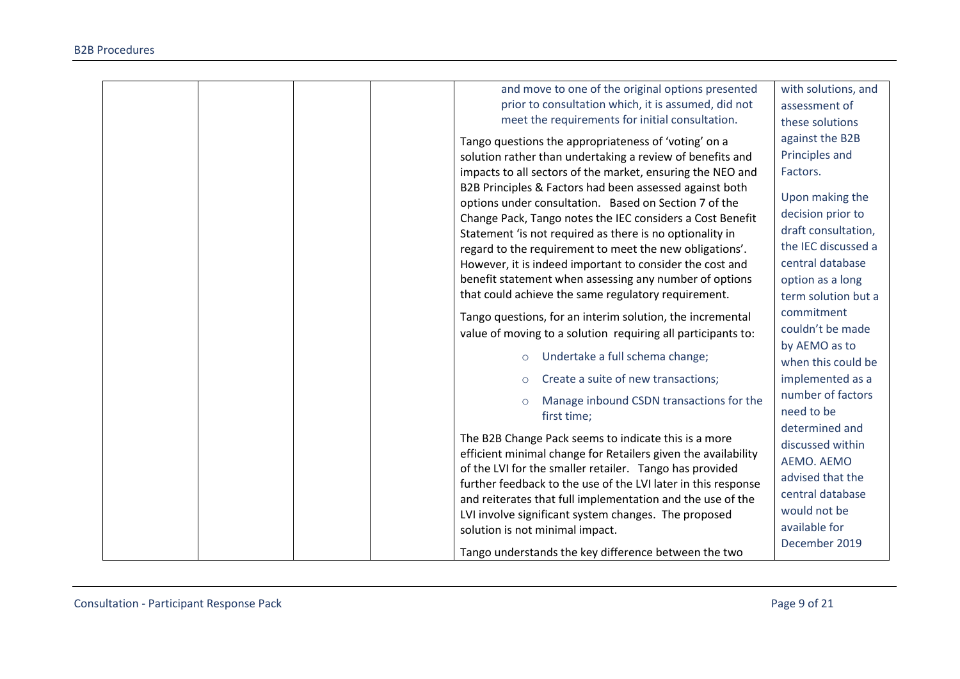| and move to one of the original options presented             | with solutions, and |
|---------------------------------------------------------------|---------------------|
| prior to consultation which, it is assumed, did not           | assessment of       |
| meet the requirements for initial consultation.               | these solutions     |
| Tango questions the appropriateness of 'voting' on a          | against the B2B     |
| solution rather than undertaking a review of benefits and     | Principles and      |
| impacts to all sectors of the market, ensuring the NEO and    | Factors.            |
| B2B Principles & Factors had been assessed against both       |                     |
| options under consultation. Based on Section 7 of the         | Upon making the     |
| Change Pack, Tango notes the IEC considers a Cost Benefit     | decision prior to   |
| Statement 'is not required as there is no optionality in      | draft consultation, |
| regard to the requirement to meet the new obligations'.       | the IEC discussed a |
| However, it is indeed important to consider the cost and      | central database    |
| benefit statement when assessing any number of options        | option as a long    |
| that could achieve the same regulatory requirement.           | term solution but a |
| Tango questions, for an interim solution, the incremental     | commitment          |
| value of moving to a solution requiring all participants to:  | couldn't be made    |
|                                                               | by AEMO as to       |
| Undertake a full schema change;<br>$\circ$                    | when this could be  |
| Create a suite of new transactions;<br>$\circ$                | implemented as a    |
|                                                               | number of factors   |
| Manage inbound CSDN transactions for the                      | need to be          |
| first time;                                                   | determined and      |
| The B2B Change Pack seems to indicate this is a more          | discussed within    |
| efficient minimal change for Retailers given the availability | AEMO. AEMO          |
| of the LVI for the smaller retailer. Tango has provided       | advised that the    |
| further feedback to the use of the LVI later in this response | central database    |
| and reiterates that full implementation and the use of the    | would not be        |
| LVI involve significant system changes. The proposed          |                     |
| solution is not minimal impact.                               | available for       |
| Tango understands the key difference between the two          | December 2019       |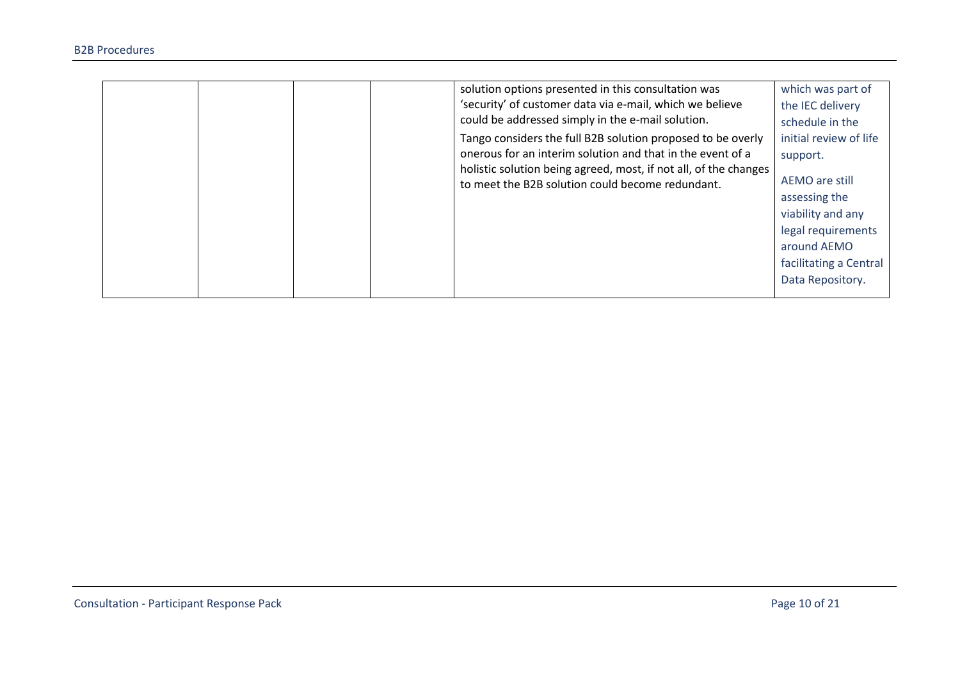|  |  | solution options presented in this consultation was<br>'security' of customer data via e-mail, which we believe<br>could be addressed simply in the e-mail solution.<br>Tango considers the full B2B solution proposed to be overly<br>onerous for an interim solution and that in the event of a<br>holistic solution being agreed, most, if not all, of the changes<br>to meet the B2B solution could become redundant. | which was part of<br>the IEC delivery<br>schedule in the<br>initial review of life<br>support.<br>AEMO are still<br>assessing the<br>viability and any<br>legal requirements<br>around AEMO<br>facilitating a Central |
|--|--|---------------------------------------------------------------------------------------------------------------------------------------------------------------------------------------------------------------------------------------------------------------------------------------------------------------------------------------------------------------------------------------------------------------------------|-----------------------------------------------------------------------------------------------------------------------------------------------------------------------------------------------------------------------|
|  |  |                                                                                                                                                                                                                                                                                                                                                                                                                           | Data Repository.                                                                                                                                                                                                      |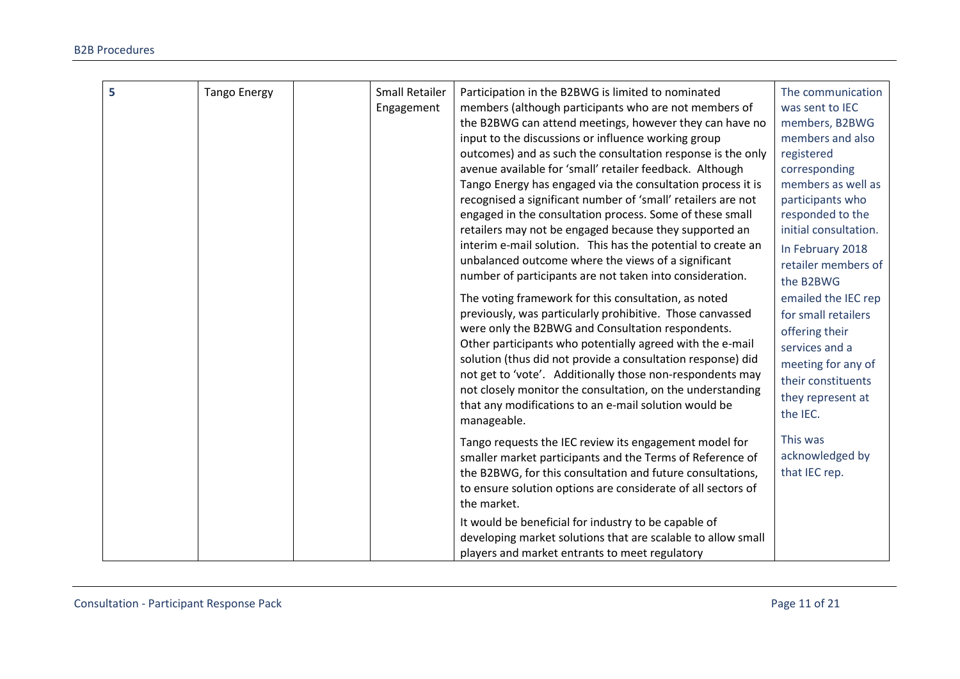| 5 | <b>Tango Energy</b> | <b>Small Retailer</b> | Participation in the B2BWG is limited to nominated           | The communication     |
|---|---------------------|-----------------------|--------------------------------------------------------------|-----------------------|
|   |                     | Engagement            | members (although participants who are not members of        | was sent to IEC       |
|   |                     |                       | the B2BWG can attend meetings, however they can have no      | members, B2BWG        |
|   |                     |                       | input to the discussions or influence working group          | members and also      |
|   |                     |                       | outcomes) and as such the consultation response is the only  | registered            |
|   |                     |                       | avenue available for 'small' retailer feedback. Although     | corresponding         |
|   |                     |                       | Tango Energy has engaged via the consultation process it is  | members as well as    |
|   |                     |                       | recognised a significant number of 'small' retailers are not | participants who      |
|   |                     |                       | engaged in the consultation process. Some of these small     | responded to the      |
|   |                     |                       | retailers may not be engaged because they supported an       | initial consultation. |
|   |                     |                       | interim e-mail solution. This has the potential to create an | In February 2018      |
|   |                     |                       | unbalanced outcome where the views of a significant          | retailer members of   |
|   |                     |                       | number of participants are not taken into consideration.     | the B2BWG             |
|   |                     |                       | The voting framework for this consultation, as noted         | emailed the IEC rep   |
|   |                     |                       | previously, was particularly prohibitive. Those canvassed    | for small retailers   |
|   |                     |                       | were only the B2BWG and Consultation respondents.            | offering their        |
|   |                     |                       | Other participants who potentially agreed with the e-mail    | services and a        |
|   |                     |                       | solution (thus did not provide a consultation response) did  | meeting for any of    |
|   |                     |                       | not get to 'vote'. Additionally those non-respondents may    | their constituents    |
|   |                     |                       | not closely monitor the consultation, on the understanding   | they represent at     |
|   |                     |                       | that any modifications to an e-mail solution would be        | the IEC.              |
|   |                     |                       | manageable.                                                  |                       |
|   |                     |                       | Tango requests the IEC review its engagement model for       | This was              |
|   |                     |                       | smaller market participants and the Terms of Reference of    | acknowledged by       |
|   |                     |                       | the B2BWG, for this consultation and future consultations,   | that IEC rep.         |
|   |                     |                       | to ensure solution options are considerate of all sectors of |                       |
|   |                     |                       | the market.                                                  |                       |
|   |                     |                       | It would be beneficial for industry to be capable of         |                       |
|   |                     |                       | developing market solutions that are scalable to allow small |                       |
|   |                     |                       | players and market entrants to meet regulatory               |                       |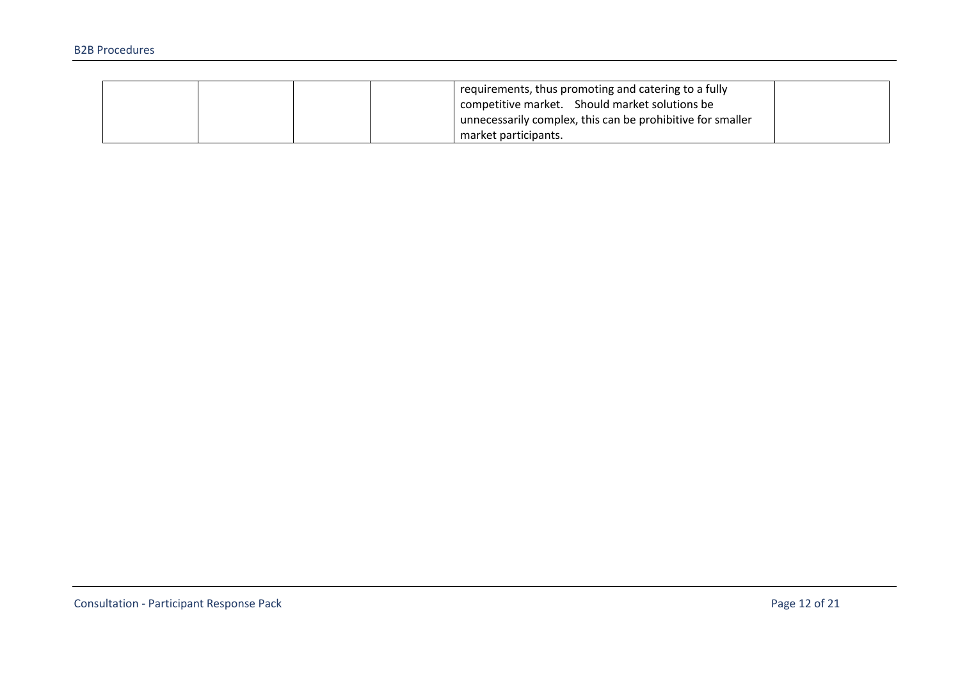|  |  | requirements, thus promoting and catering to a fully       |  |
|--|--|------------------------------------------------------------|--|
|  |  | competitive market. Should market solutions be             |  |
|  |  | unnecessarily complex, this can be prohibitive for smaller |  |
|  |  | market participants.                                       |  |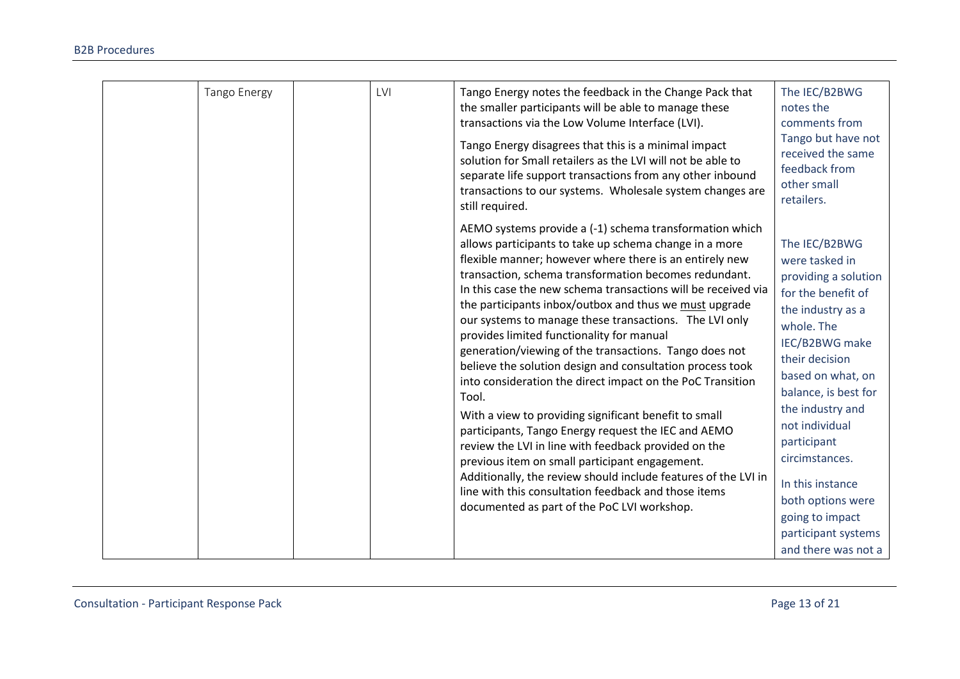| Tango Energy | LVI | Tango Energy notes the feedback in the Change Pack that<br>the smaller participants will be able to manage these<br>transactions via the Low Volume Interface (LVI).<br>Tango Energy disagrees that this is a minimal impact<br>solution for Small retailers as the LVI will not be able to<br>separate life support transactions from any other inbound<br>transactions to our systems. Wholesale system changes are<br>still required.                                                                                                                                                                                                                                                                                                                                                                                                                                                                                                                                                                                                                                 | The IEC/B2BWG<br>notes the<br>comments from<br>Tango but have not<br>received the same<br>feedback from<br>other small<br>retailers.                                                                                                                                                                                                                                               |
|--------------|-----|--------------------------------------------------------------------------------------------------------------------------------------------------------------------------------------------------------------------------------------------------------------------------------------------------------------------------------------------------------------------------------------------------------------------------------------------------------------------------------------------------------------------------------------------------------------------------------------------------------------------------------------------------------------------------------------------------------------------------------------------------------------------------------------------------------------------------------------------------------------------------------------------------------------------------------------------------------------------------------------------------------------------------------------------------------------------------|------------------------------------------------------------------------------------------------------------------------------------------------------------------------------------------------------------------------------------------------------------------------------------------------------------------------------------------------------------------------------------|
|              |     | AEMO systems provide a (-1) schema transformation which<br>allows participants to take up schema change in a more<br>flexible manner; however where there is an entirely new<br>transaction, schema transformation becomes redundant.<br>In this case the new schema transactions will be received via<br>the participants inbox/outbox and thus we must upgrade<br>our systems to manage these transactions. The LVI only<br>provides limited functionality for manual<br>generation/viewing of the transactions. Tango does not<br>believe the solution design and consultation process took<br>into consideration the direct impact on the PoC Transition<br>Tool.<br>With a view to providing significant benefit to small<br>participants, Tango Energy request the IEC and AEMO<br>review the LVI in line with feedback provided on the<br>previous item on small participant engagement.<br>Additionally, the review should include features of the LVI in<br>line with this consultation feedback and those items<br>documented as part of the PoC LVI workshop. | The IEC/B2BWG<br>were tasked in<br>providing a solution<br>for the benefit of<br>the industry as a<br>whole. The<br>IEC/B2BWG make<br>their decision<br>based on what, on<br>balance, is best for<br>the industry and<br>not individual<br>participant<br>circimstances.<br>In this instance<br>both options were<br>going to impact<br>participant systems<br>and there was not a |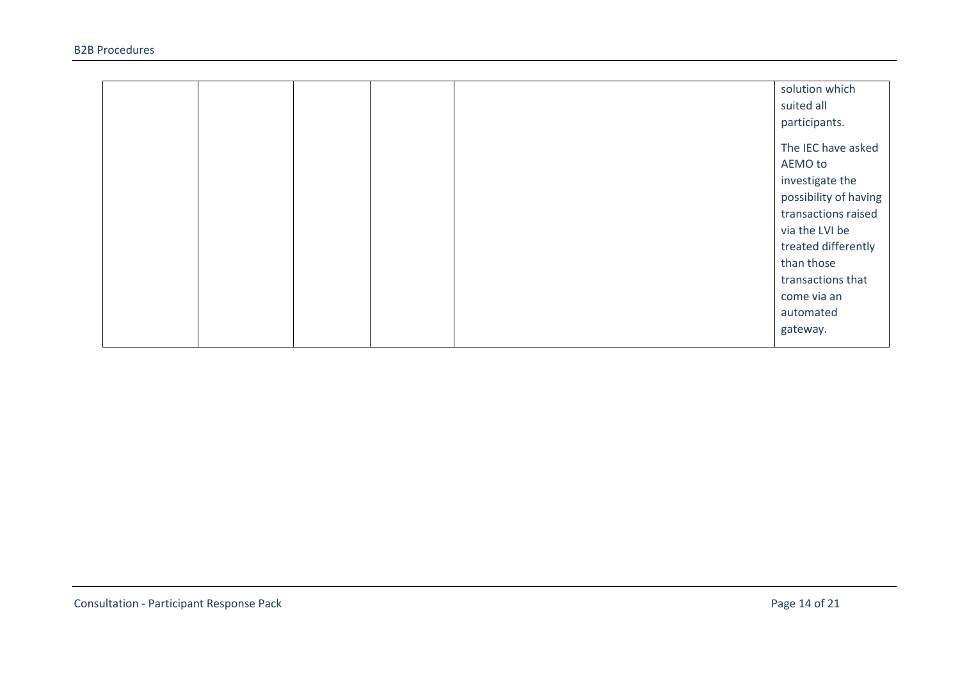|  |  | solution which        |
|--|--|-----------------------|
|  |  | suited all            |
|  |  | participants.         |
|  |  | The IEC have asked    |
|  |  |                       |
|  |  | AEMO to               |
|  |  | investigate the       |
|  |  | possibility of having |
|  |  | transactions raised   |
|  |  | via the LVI be        |
|  |  | treated differently   |
|  |  | than those            |
|  |  | transactions that     |
|  |  | come via an           |
|  |  | automated             |
|  |  | gateway.              |
|  |  |                       |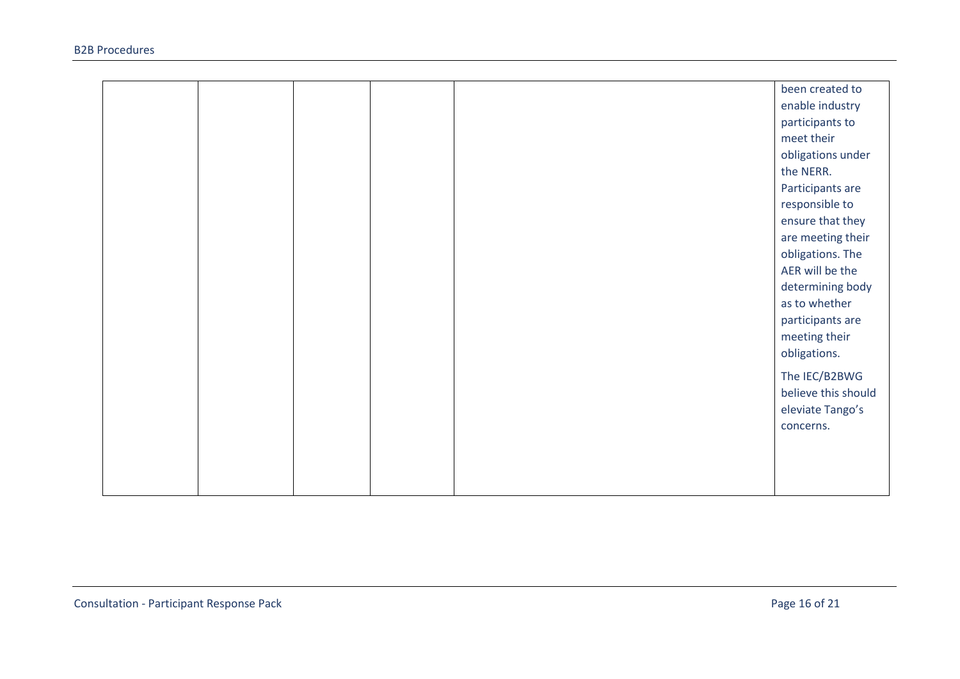|  |  | been created to     |
|--|--|---------------------|
|  |  | enable industry     |
|  |  | participants to     |
|  |  | meet their          |
|  |  | obligations under   |
|  |  | the NERR.           |
|  |  | Participants are    |
|  |  | responsible to      |
|  |  | ensure that they    |
|  |  | are meeting their   |
|  |  | obligations. The    |
|  |  | AER will be the     |
|  |  | determining body    |
|  |  | as to whether       |
|  |  | participants are    |
|  |  | meeting their       |
|  |  | obligations.        |
|  |  | The IEC/B2BWG       |
|  |  | believe this should |
|  |  | eleviate Tango's    |
|  |  | concerns.           |
|  |  |                     |
|  |  |                     |
|  |  |                     |
|  |  |                     |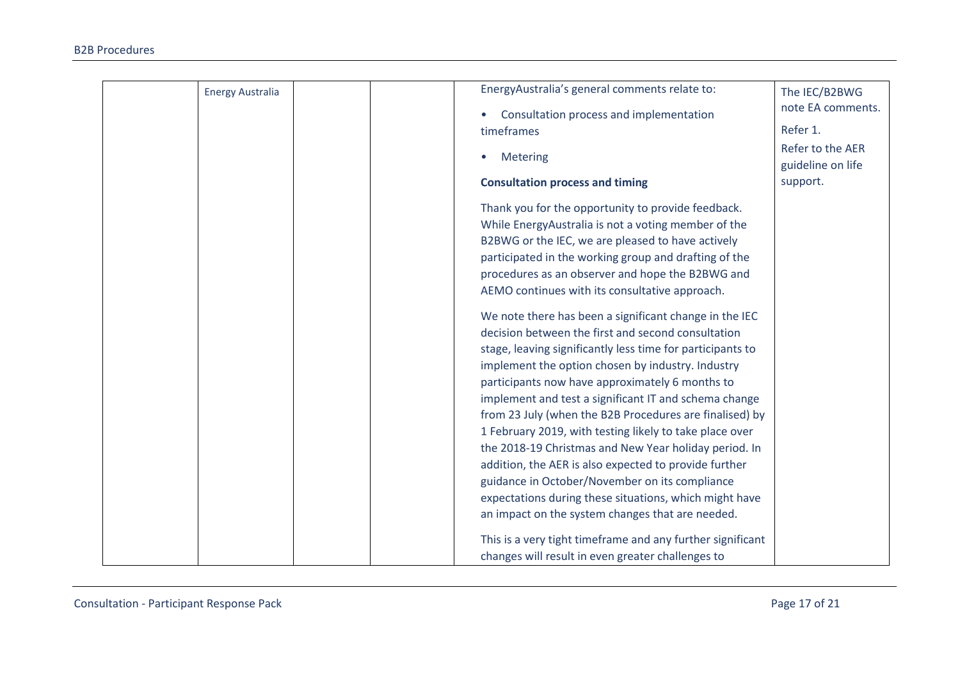| <b>Energy Australia</b> | EnergyAustralia's general comments relate to:              | The IEC/B2BWG     |
|-------------------------|------------------------------------------------------------|-------------------|
|                         |                                                            | note EA comments. |
|                         | Consultation process and implementation                    | Refer 1.          |
|                         | timeframes                                                 |                   |
|                         | Metering                                                   | Refer to the AER  |
|                         |                                                            | guideline on life |
|                         | <b>Consultation process and timing</b>                     | support.          |
|                         | Thank you for the opportunity to provide feedback.         |                   |
|                         | While EnergyAustralia is not a voting member of the        |                   |
|                         | B2BWG or the IEC, we are pleased to have actively          |                   |
|                         | participated in the working group and drafting of the      |                   |
|                         | procedures as an observer and hope the B2BWG and           |                   |
|                         | AEMO continues with its consultative approach.             |                   |
|                         | We note there has been a significant change in the IEC     |                   |
|                         | decision between the first and second consultation         |                   |
|                         | stage, leaving significantly less time for participants to |                   |
|                         | implement the option chosen by industry. Industry          |                   |
|                         | participants now have approximately 6 months to            |                   |
|                         | implement and test a significant IT and schema change      |                   |
|                         | from 23 July (when the B2B Procedures are finalised) by    |                   |
|                         | 1 February 2019, with testing likely to take place over    |                   |
|                         | the 2018-19 Christmas and New Year holiday period. In      |                   |
|                         | addition, the AER is also expected to provide further      |                   |
|                         | guidance in October/November on its compliance             |                   |
|                         | expectations during these situations, which might have     |                   |
|                         | an impact on the system changes that are needed.           |                   |
|                         | This is a very tight timeframe and any further significant |                   |
|                         | changes will result in even greater challenges to          |                   |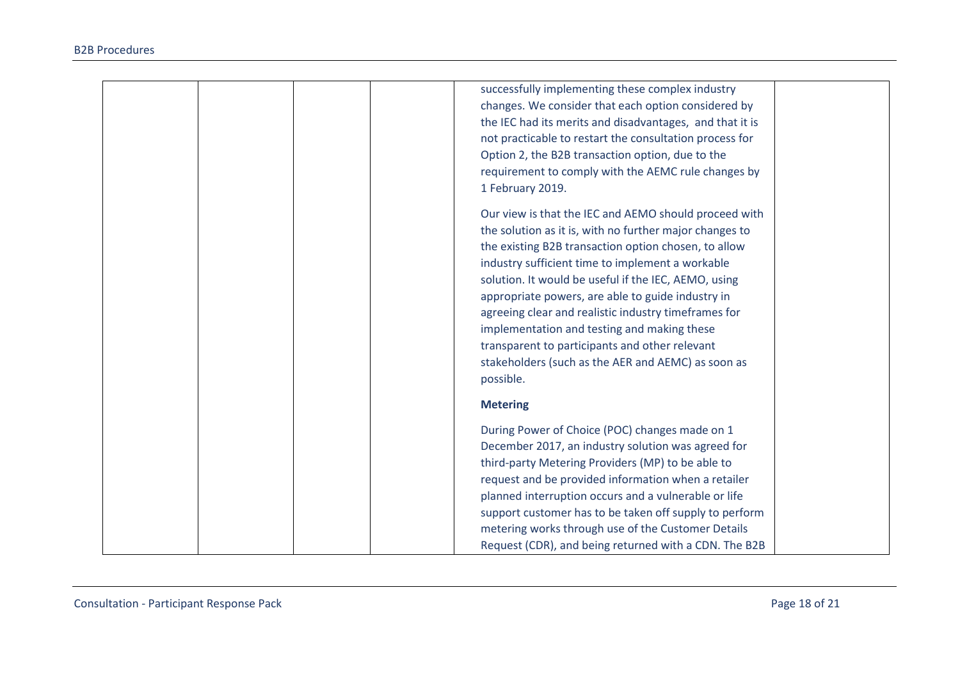|  | successfully implementing these complex industry         |  |
|--|----------------------------------------------------------|--|
|  | changes. We consider that each option considered by      |  |
|  | the IEC had its merits and disadvantages, and that it is |  |
|  | not practicable to restart the consultation process for  |  |
|  | Option 2, the B2B transaction option, due to the         |  |
|  | requirement to comply with the AEMC rule changes by      |  |
|  | 1 February 2019.                                         |  |
|  | Our view is that the IEC and AEMO should proceed with    |  |
|  | the solution as it is, with no further major changes to  |  |
|  | the existing B2B transaction option chosen, to allow     |  |
|  | industry sufficient time to implement a workable         |  |
|  | solution. It would be useful if the IEC, AEMO, using     |  |
|  | appropriate powers, are able to guide industry in        |  |
|  | agreeing clear and realistic industry timeframes for     |  |
|  | implementation and testing and making these              |  |
|  | transparent to participants and other relevant           |  |
|  | stakeholders (such as the AER and AEMC) as soon as       |  |
|  | possible.                                                |  |
|  | <b>Metering</b>                                          |  |
|  | During Power of Choice (POC) changes made on 1           |  |
|  | December 2017, an industry solution was agreed for       |  |
|  | third-party Metering Providers (MP) to be able to        |  |
|  | request and be provided information when a retailer      |  |
|  | planned interruption occurs and a vulnerable or life     |  |
|  | support customer has to be taken off supply to perform   |  |
|  | metering works through use of the Customer Details       |  |
|  | Request (CDR), and being returned with a CDN. The B2B    |  |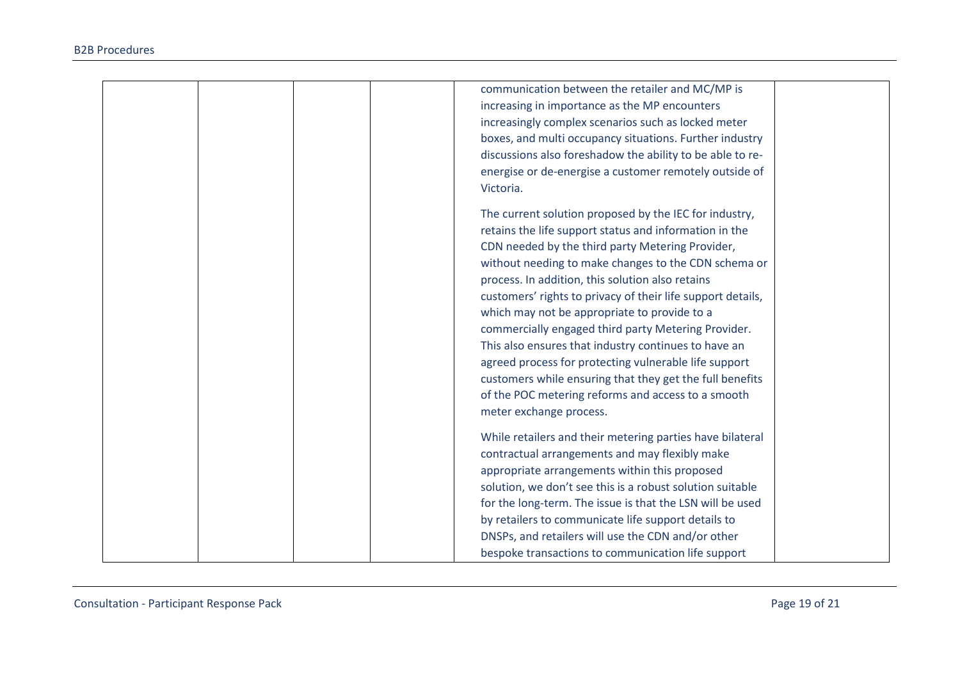| communication between the retailer and MC/MP is             |
|-------------------------------------------------------------|
| increasing in importance as the MP encounters               |
| increasingly complex scenarios such as locked meter         |
| boxes, and multi occupancy situations. Further industry     |
| discussions also foreshadow the ability to be able to re-   |
| energise or de-energise a customer remotely outside of      |
| Victoria.                                                   |
| The current solution proposed by the IEC for industry,      |
| retains the life support status and information in the      |
| CDN needed by the third party Metering Provider,            |
| without needing to make changes to the CDN schema or        |
| process. In addition, this solution also retains            |
| customers' rights to privacy of their life support details, |
| which may not be appropriate to provide to a                |
| commercially engaged third party Metering Provider.         |
| This also ensures that industry continues to have an        |
| agreed process for protecting vulnerable life support       |
| customers while ensuring that they get the full benefits    |
| of the POC metering reforms and access to a smooth          |
| meter exchange process.                                     |
| While retailers and their metering parties have bilateral   |
| contractual arrangements and may flexibly make              |
| appropriate arrangements within this proposed               |
| solution, we don't see this is a robust solution suitable   |
| for the long-term. The issue is that the LSN will be used   |
| by retailers to communicate life support details to         |
| DNSPs, and retailers will use the CDN and/or other          |
| bespoke transactions to communication life support          |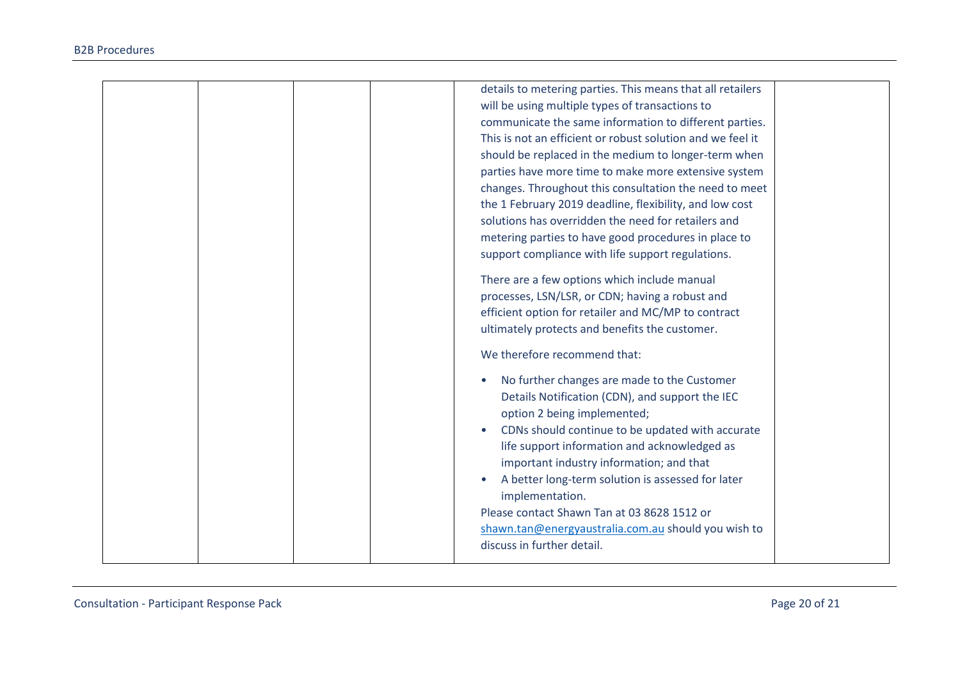| details to metering parties. This means that all retailers |  |
|------------------------------------------------------------|--|
|                                                            |  |
| will be using multiple types of transactions to            |  |
| communicate the same information to different parties.     |  |
| This is not an efficient or robust solution and we feel it |  |
| should be replaced in the medium to longer-term when       |  |
| parties have more time to make more extensive system       |  |
| changes. Throughout this consultation the need to meet     |  |
| the 1 February 2019 deadline, flexibility, and low cost    |  |
| solutions has overridden the need for retailers and        |  |
| metering parties to have good procedures in place to       |  |
| support compliance with life support regulations.          |  |
| There are a few options which include manual               |  |
| processes, LSN/LSR, or CDN; having a robust and            |  |
| efficient option for retailer and MC/MP to contract        |  |
| ultimately protects and benefits the customer.             |  |
|                                                            |  |
| We therefore recommend that:                               |  |
| No further changes are made to the Customer                |  |
| Details Notification (CDN), and support the IEC            |  |
| option 2 being implemented;                                |  |
| CDNs should continue to be updated with accurate           |  |
| life support information and acknowledged as               |  |
| important industry information; and that                   |  |
| A better long-term solution is assessed for later          |  |
| implementation.                                            |  |
| Please contact Shawn Tan at 03 8628 1512 or                |  |
| shawn.tan@energyaustralia.com.au should you wish to        |  |
| discuss in further detail.                                 |  |
|                                                            |  |